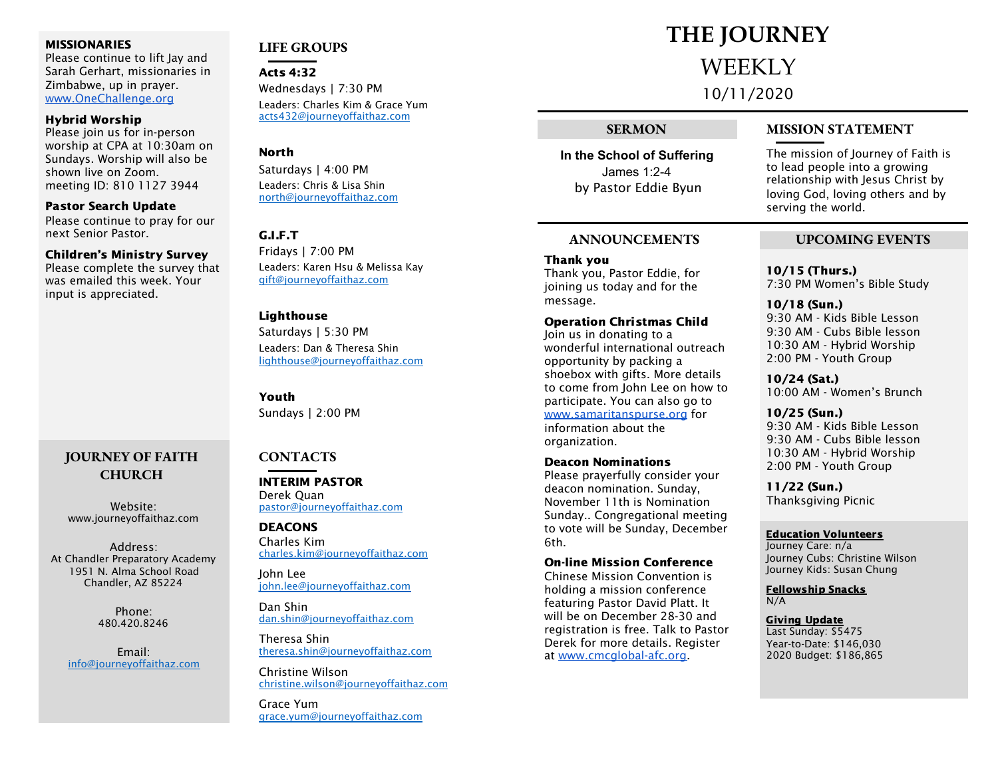#### **MISSIONARIES**

Please continue to lift lay and Sarah Gerhart, missionaries in Zimbabwe, up in prayer. [www.OneChallenge.org](http://www.onechallenge.org/)

#### Hybrid Worship

Please join us for in-person worship at CPA at 10:30am on Sundays. Worship will also be shown live on Zoom. meeting ID: 810 1127 3944

Pastor Search Update Please continue to pray for our next Senior Pastor.

#### Children's Ministry Survey

Please complete the survey that was emailed this week. Your input is appreciated.

#### **JOURNEY OF FAITH CHURCH**

Website: www.journeyoffaithaz.com

Address: At Chandler Preparatory Academy 1951 N. Alma School Road Chandler, AZ 85224

> Phone: 480.420.8246

Email: [info@journeyoffaithaz.com](mailto:info@journeyoffaithaz.com)

### **LIFE GROUPS**

Acts 4:32 Wednesdays | 7:30 PM Leaders: Charles Kim & Grace Yum [acts432@journeyoffaithaz.com](mailto:acts432@journeyoffaithaz.com)

#### North

Saturdays | 4:00 PM Leaders: Chris & Lisa Shin [north@journeyoffaithaz.com](mailto:north@journeyoffaithaz.com)

#### G.I.F.T

Fridays | 7:00 PM Leaders: Karen Hsu & Melissa Kay [gift@journeyoffaithaz.com](mailto:gift@journeyoffaithaz.com)

#### Lighthouse

Saturdays | 5:30 PM Leaders: Dan & Theresa Shin [lighthouse@journeyoffaithaz.com](mailto:lighthouse@journeyoffaithaz.com)

Youth Sundays | 2:00 PM

#### **CONTACTS**

INTERIM PASTOR Derek Quan [pastor@journeyoffaithaz.com](mailto:pastor@journeyoffaithaz.com)

DEACONS Charles Kim [charles.kim@journeyoffaithaz.com](mailto:charles.kim@journeyoffaithaz.com)

John Lee john.lee@journeyoffaithaz.com

Dan Shin [dan.shin@journeyoffaithaz.com](mailto:dan.shin@journeyoffaithaz.com)

Theresa Shin [theresa.shin@journeyoffaithaz.com](mailto:theresa.shin@journeyoffaithaz.com)

Christine Wilson [christine.wilson@journeyoffaithaz.com](mailto:christine.wilson@journeyoffaithaz.com)

Grace Yum [grace.yum@journeyoffaithaz.com](mailto:grace.yum@journeyoffaithaz.com)

### **THE JOURNEY** WEEKLY

10/11/2020

**In the School of Suffering** James 1:2-4 by Pastor Eddie Byun

#### **ANNOUNCEMENTS UPCOMING EVENTS**

Thank you Thank you, Pastor Eddie, for joining us today and for the message.

#### Operation Christmas Child

Join us in donating to a wonderful international outreach opportunity by packing a shoebox with gifts. More details to come from John Lee on how to participate. You can also go to [www.samaritanspurse.org](http://www.samaritanspurse.org/) for information about the organization.

### Deacon Nominations

Please prayerfully consider your deacon nomination. Sunday, November 11th is Nomination Sunday.. Congregational meeting to vote will be Sunday, December 6th.

#### On-line Mission Conference

Chinese Mission Convention is holding a mission conference featuring Pastor David Platt. It will be on December 28-30 and registration is free. Talk to Pastor Derek for more details. Register at [www.cmcglobal-afc.org.](http://www.cmcglobal-afc.org/)

#### **SERMON MISSION STATEMENT**

The mission of Journey of Faith is to lead people into a growing relationship with Jesus Christ by loving God, loving others and by serving the world.

10/15 (Thurs.) 7:30 PM Women's Bible Study

10/18 (Sun.) 9:30 AM - Kids Bible Lesson 9:30 AM - Cubs Bible lesson 10:30 AM - Hybrid Worship 2:00 PM - Youth Group

10/24 (Sat.) 10:00 AM - Women's Brunch

10/25 (Sun.) 9:30 AM - Kids Bible Lesson 9:30 AM - Cubs Bible lesson 10:30 AM - Hybrid Worship 2:00 PM - Youth Group

11/22 (Sun.) Thanksgiving Picnic

#### Education Volunteers

Journey Care: n/a Journey Cubs: Christine Wilson Journey Kids: Susan Chung

Fellowship Snacks N/A

Giving Update Last Sunday: \$5475 Year-to-Date: \$146,030 2020 Budget: \$186,865